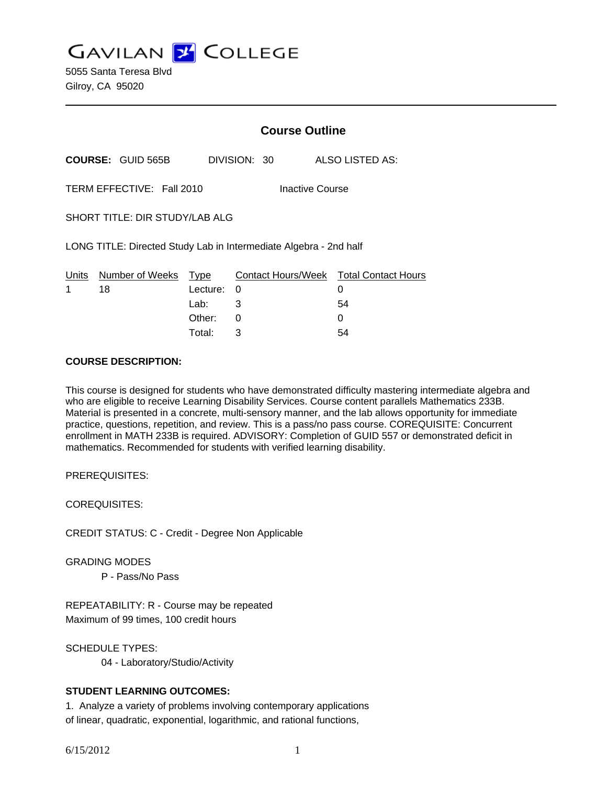**GAVILAN Z COLLEGE** 

5055 Santa Teresa Blvd Gilroy, CA 95020

|       |                                                                   |          |              | <b>Course Outline</b>  |                                        |
|-------|-------------------------------------------------------------------|----------|--------------|------------------------|----------------------------------------|
|       | <b>COURSE: GUID 565B</b>                                          |          | DIVISION: 30 |                        | ALSO LISTED AS:                        |
|       | TERM EFFECTIVE: Fall 2010                                         |          |              | <b>Inactive Course</b> |                                        |
|       | SHORT TITLE: DIR STUDY/LAB ALG                                    |          |              |                        |                                        |
|       | LONG TITLE: Directed Study Lab in Intermediate Algebra - 2nd half |          |              |                        |                                        |
| Units | Number of Weeks                                                   | Type     |              |                        | Contact Hours/Week Total Contact Hours |
| 1     | 18                                                                | Lecture: | 0            |                        | 0                                      |
|       |                                                                   | Lab:     | 3            |                        | 54                                     |
|       |                                                                   | Other:   | 0            |                        | 0                                      |

Total: 3 54

#### **COURSE DESCRIPTION:**

This course is designed for students who have demonstrated difficulty mastering intermediate algebra and who are eligible to receive Learning Disability Services. Course content parallels Mathematics 233B. Material is presented in a concrete, multi-sensory manner, and the lab allows opportunity for immediate practice, questions, repetition, and review. This is a pass/no pass course. COREQUISITE: Concurrent enrollment in MATH 233B is required. ADVISORY: Completion of GUID 557 or demonstrated deficit in mathematics. Recommended for students with verified learning disability.

PREREQUISITES:

COREQUISITES:

CREDIT STATUS: C - Credit - Degree Non Applicable

GRADING MODES

P - Pass/No Pass

REPEATABILITY: R - Course may be repeated Maximum of 99 times, 100 credit hours

SCHEDULE TYPES: 04 - Laboratory/Studio/Activity

#### **STUDENT LEARNING OUTCOMES:**

1. Analyze a variety of problems involving contemporary applications of linear, quadratic, exponential, logarithmic, and rational functions,

6/15/2012 1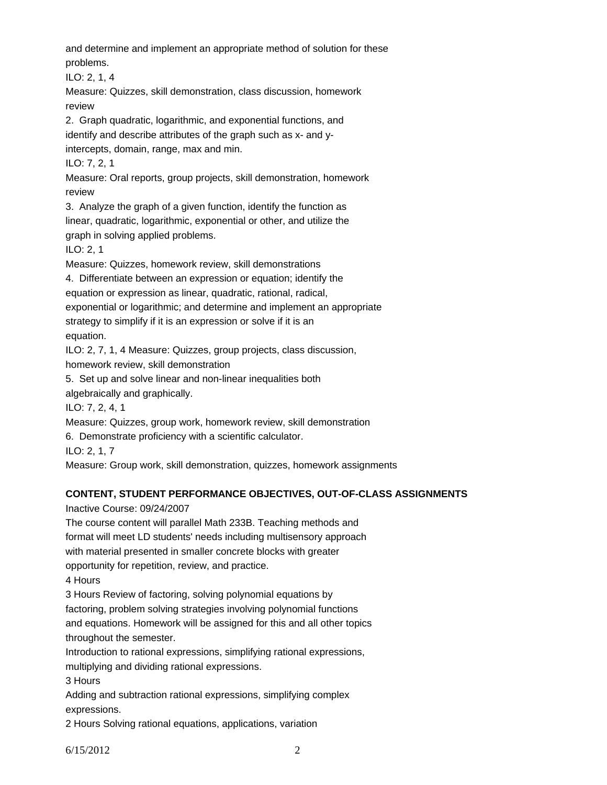and determine and implement an appropriate method of solution for these problems.

ILO: 2, 1, 4

Measure: Quizzes, skill demonstration, class discussion, homework review

2. Graph quadratic, logarithmic, and exponential functions, and

identify and describe attributes of the graph such as x- and y-

intercepts, domain, range, max and min.

ILO: 7, 2, 1

Measure: Oral reports, group projects, skill demonstration, homework review

3. Analyze the graph of a given function, identify the function as linear, quadratic, logarithmic, exponential or other, and utilize the graph in solving applied problems.

ILO: 2, 1

Measure: Quizzes, homework review, skill demonstrations

4. Differentiate between an expression or equation; identify the

equation or expression as linear, quadratic, rational, radical,

exponential or logarithmic; and determine and implement an appropriate strategy to simplify if it is an expression or solve if it is an

equation.

ILO: 2, 7, 1, 4 Measure: Quizzes, group projects, class discussion, homework review, skill demonstration

5. Set up and solve linear and non-linear inequalities both

algebraically and graphically.

ILO: 7, 2, 4, 1

Measure: Quizzes, group work, homework review, skill demonstration

6. Demonstrate proficiency with a scientific calculator.

ILO: 2, 1, 7

Measure: Group work, skill demonstration, quizzes, homework assignments

# **CONTENT, STUDENT PERFORMANCE OBJECTIVES, OUT-OF-CLASS ASSIGNMENTS**

Inactive Course: 09/24/2007

The course content will parallel Math 233B. Teaching methods and format will meet LD students' needs including multisensory approach with material presented in smaller concrete blocks with greater opportunity for repetition, review, and practice.

4 Hours

3 Hours Review of factoring, solving polynomial equations by

factoring, problem solving strategies involving polynomial functions

and equations. Homework will be assigned for this and all other topics throughout the semester.

Introduction to rational expressions, simplifying rational expressions, multiplying and dividing rational expressions.

3 Hours

Adding and subtraction rational expressions, simplifying complex expressions.

2 Hours Solving rational equations, applications, variation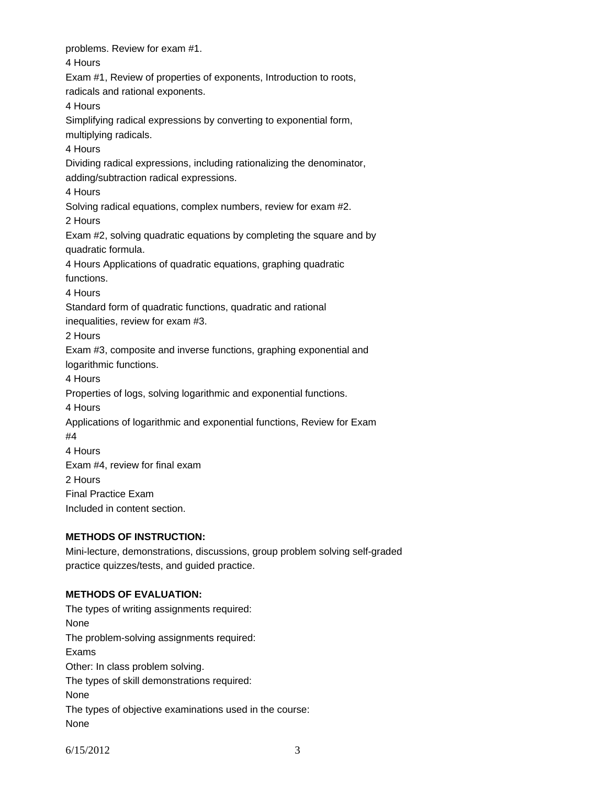problems. Review for exam #1. 4 Hours Exam #1, Review of properties of exponents, Introduction to roots, radicals and rational exponents. 4 Hours Simplifying radical expressions by converting to exponential form, multiplying radicals. 4 Hours Dividing radical expressions, including rationalizing the denominator, adding/subtraction radical expressions. 4 Hours Solving radical equations, complex numbers, review for exam #2. 2 Hours Exam #2, solving quadratic equations by completing the square and by quadratic formula. 4 Hours Applications of quadratic equations, graphing quadratic functions. 4 Hours Standard form of quadratic functions, quadratic and rational inequalities, review for exam #3. 2 Hours Exam #3, composite and inverse functions, graphing exponential and logarithmic functions. 4 Hours Properties of logs, solving logarithmic and exponential functions. 4 Hours Applications of logarithmic and exponential functions, Review for Exam #4 4 Hours Exam #4, review for final exam 2 Hours Final Practice Exam Included in content section. **METHODS OF INSTRUCTION:** 

Mini-lecture, demonstrations, discussions, group problem solving self-graded practice quizzes/tests, and guided practice.

# **METHODS OF EVALUATION:**

The types of writing assignments required: None The problem-solving assignments required: Exams Other: In class problem solving. The types of skill demonstrations required: None The types of objective examinations used in the course: None

6/15/2012 3